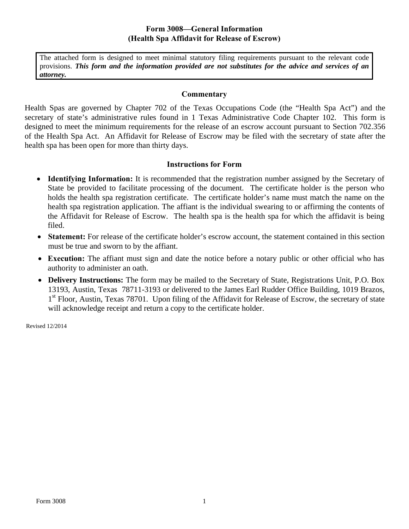## **Form 3008—General Information (Health Spa Affidavit for Release of Escrow)**

The attached form is designed to meet minimal statutory filing requirements pursuant to the relevant code provisions. *This form and the information provided are not substitutes for the advice and services of an attorney.* 

#### **Commentary**

Health Spas are governed by Chapter 702 of the Texas Occupations Code (the "Health Spa Act") and the secretary of state's administrative rules found in 1 Texas Administrative Code Chapter 102. This form is designed to meet the minimum requirements for the release of an escrow account pursuant to Section 702.356 of the Health Spa Act. An Affidavit for Release of Escrow may be filed with the secretary of state after the health spa has been open for more than thirty days.

### **Instructions for Form**

- **Identifying Information:** It is recommended that the registration number assigned by the Secretary of State be provided to facilitate processing of the document. The certificate holder is the person who holds the health spa registration certificate. The certificate holder's name must match the name on the health spa registration application. The affiant is the individual swearing to or affirming the contents of the Affidavit for Release of Escrow. The health spa is the health spa for which the affidavit is being filed.
- **Statement:** For release of the certificate holder's escrow account, the statement contained in this section must be true and sworn to by the affiant.
- **Execution:** The affiant must sign and date the notice before a notary public or other official who has authority to administer an oath.
- **Delivery Instructions:** The form may be mailed to the Secretary of State, Registrations Unit, P.O. Box 13193, Austin, Texas 78711-3193 or delivered to the James Earl Rudder Office Building, 1019 Brazos, 1<sup>st</sup> Floor, Austin, Texas 78701. Upon filing of the Affidavit for Release of Escrow, the secretary of state will acknowledge receipt and return a copy to the certificate holder.

Revised 12/2014